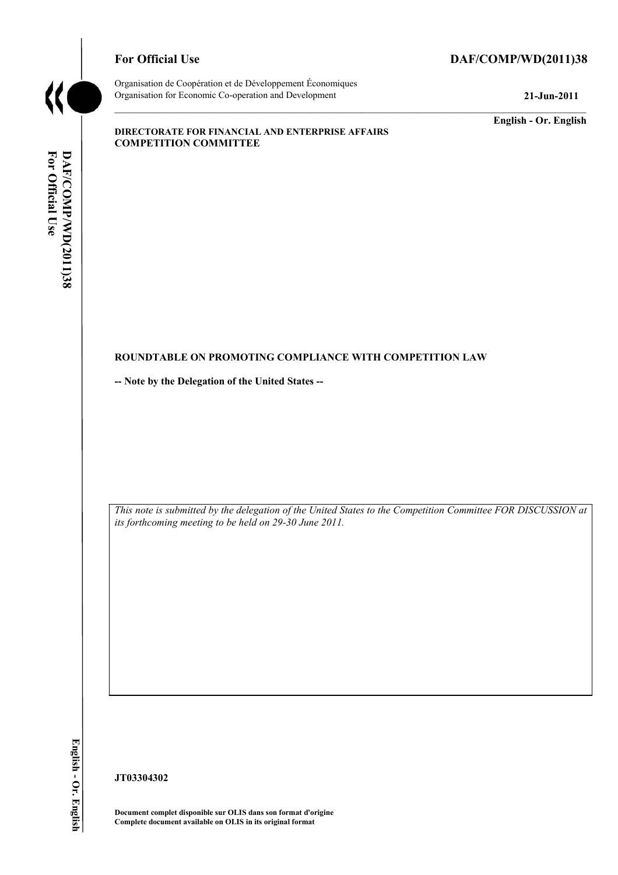

# For Official Use DAF/COMP/WD(2011)38

Organisation de Coopération et de Développement Économiques Organisation for Economic Co-operation and Development **21-Jun-2011** 

**English - Or. English** 

#### **DIRECTORATE FOR FINANCIAL AND ENTERPRISE AFFAIRS COMPETITION COMMITTEE**

# For Official Use DAF/COMP/WD(2011)38 **For Official DAF/COMP**

#### **ROUNDTABLE ON PROMOTING COMPLIANCE WITH COMPETITION LAW**

**-- Note by the Delegation of the United States --** 

 *This note is submitted by the delegation of the United States to the Competition Committee FOR DISCUSSION at its forthcoming meeting to be held on 29-30 June 2011.* 

**/WD(2011)38 English - Or. English**  English - Or. English

**JT03304302** 

 **Document complet disponible sur OLIS dans son format d'origine Complete document available on OLIS in its original format**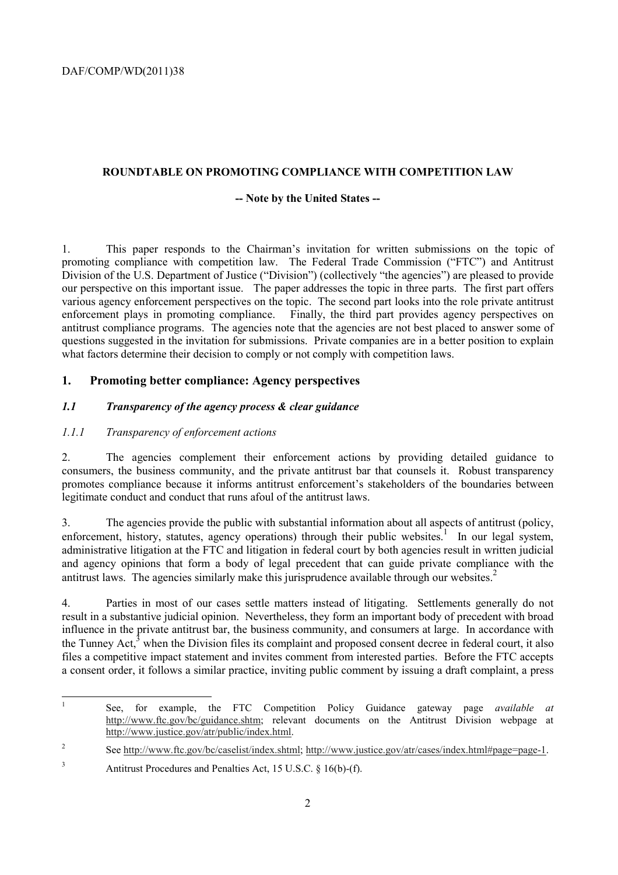## **ROUNDTABLE ON PROMOTING COMPLIANCE WITH COMPETITION LAW**

## **-- Note by the United States --**

1. This paper responds to the Chairman's invitation for written submissions on the topic of promoting compliance with competition law. The Federal Trade Commission ("FTC") and Antitrust Division of the U.S. Department of Justice ("Division") (collectively "the agencies") are pleased to provide our perspective on this important issue. The paper addresses the topic in three parts. The first part offers various agency enforcement perspectives on the topic. The second part looks into the role private antitrust enforcement plays in promoting compliance. Finally, the third part provides agency perspectives on antitrust compliance programs. The agencies note that the agencies are not best placed to answer some of questions suggested in the invitation for submissions. Private companies are in a better position to explain what factors determine their decision to comply or not comply with competition laws.

# **1. Promoting better compliance: Agency perspectives**

## *1.1 Transparency of the agency process & clear guidance*

## *1.1.1 Transparency of enforcement actions*

2. The agencies complement their enforcement actions by providing detailed guidance to consumers, the business community, and the private antitrust bar that counsels it. Robust transparency promotes compliance because it informs antitrust enforcement's stakeholders of the boundaries between legitimate conduct and conduct that runs afoul of the antitrust laws.

enforcement, history, statutes, agency operations) through their public websites.<sup>1</sup> In our legal system, 3. The agencies provide the public with substantial information about all aspects of antitrust (policy, administrative litigation at the FTC and litigation in federal court by both agencies result in written judicial and agency opinions that form a body of legal precedent that can guide private compliance with the antitrust laws. The agencies similarly make this jurisprudence available through our websites.<sup>2</sup>

the Tunney Act, $3$  when the Division files its complaint and proposed consent decree in federal court, it also 4. Parties in most of our cases settle matters instead of litigating. Settlements generally do not result in a substantive judicial opinion. Nevertheless, they form an important body of precedent with broad influence in the private antitrust bar, the business community, and consumers at large. In accordance with files a competitive impact statement and invites comment from interested parties. Before the FTC accepts a consent order, it follows a similar practice, inviting public comment by issuing a draft complaint, a press

<sup>1</sup> See, for example, the FTC Competition Policy Guidance gateway page *available at*  http://www.ftc.gov/bc/guidance.shtm; relevant documents on the Antitrust Division webpage at http://www.justice.gov/atr/public/index.html.

 $\overline{c}$ 2 See http://www.ftc.gov/bc/caselist/index.shtml; http://www.justice.gov/atr/cases/index.html#page=page-1.

<sup>&</sup>lt;sup>3</sup> Antitrust Procedures and Penalties Act, 15 U.S.C. § 16(b)-(f).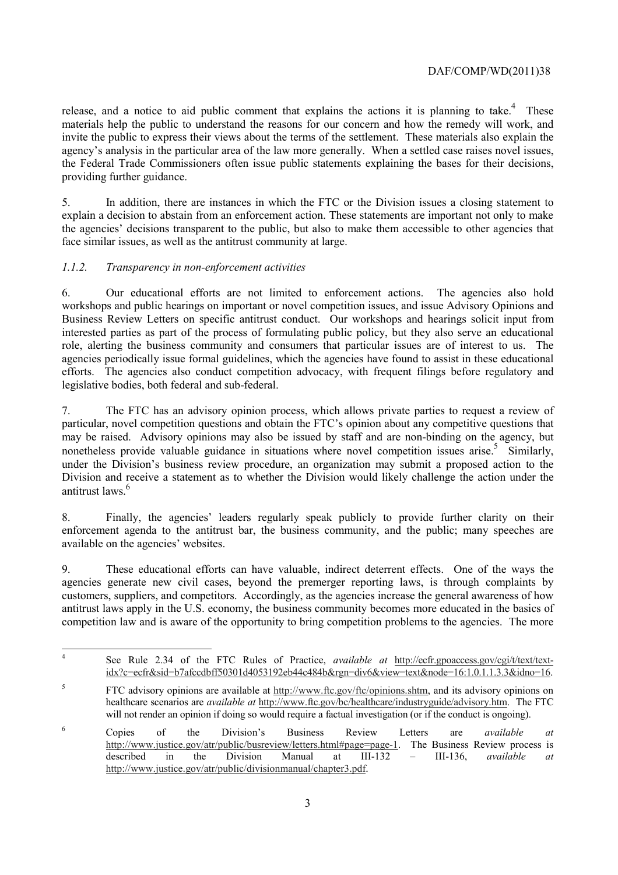release, and a notice to aid public comment that explains the actions it is planning to take.<sup>4</sup> These materials help the public to understand the reasons for our concern and how the remedy will work, and invite the public to express their views about the terms of the settlement. These materials also explain the agency's analysis in the particular area of the law more generally. When a settled case raises novel issues, the Federal Trade Commissioners often issue public statements explaining the bases for their decisions, providing further guidance.

5. In addition, there are instances in which the FTC or the Division issues a closing statement to explain a decision to abstain from an enforcement action. These statements are important not only to make the agencies' decisions transparent to the public, but also to make them accessible to other agencies that face similar issues, as well as the antitrust community at large.

## *1.1.2. Transparency in non-enforcement activities*

 $\overline{a}$ 

 role, alerting the business community and consumers that particular issues are of interest to us. The 6. Our educational efforts are not limited to enforcement actions. The agencies also hold workshops and public hearings on important or novel competition issues, and issue Advisory Opinions and Business Review Letters on specific antitrust conduct. Our workshops and hearings solicit input from interested parties as part of the process of formulating public policy, but they also serve an educational agencies periodically issue formal guidelines, which the agencies have found to assist in these educational efforts. The agencies also conduct competition advocacy, with frequent filings before regulatory and legislative bodies, both federal and sub-federal.

antitrust laws.<sup>6</sup> 7. The FTC has an advisory opinion process, which allows private parties to request a review of particular, novel competition questions and obtain the FTC's opinion about any competitive questions that may be raised. Advisory opinions may also be issued by staff and are non-binding on the agency, but nonetheless provide valuable guidance in situations where novel competition issues arise.<sup>5</sup> Similarly, under the Division's business review procedure, an organization may submit a proposed action to the Division and receive a statement as to whether the Division would likely challenge the action under the

8. Finally, the agencies' leaders regularly speak publicly to provide further clarity on their enforcement agenda to the antitrust bar, the business community, and the public; many speeches are available on the agencies' websites.

 antitrust laws apply in the U.S. economy, the business community becomes more educated in the basics of 9. These educational efforts can have valuable, indirect deterrent effects. One of the ways the agencies generate new civil cases, beyond the premerger reporting laws, is through complaints by customers, suppliers, and competitors. Accordingly, as the agencies increase the general awareness of how competition law and is aware of the opportunity to bring competition problems to the agencies. The more

See Rule 2.34 of the FTC Rules of Practice, *available at* http://ecfr.gpoaccess.gov/cgi/t/text/textidx?c=ecfr&sid=b7afccdbff50301d4053192eb44c484b&rgn=div6&view=text&node=16:1.0.1.1.3.3&idno=16. 5 FTC advisory opinions are available at http://www.ftc.gov/ftc/opinions.shtm, and its advisory opinions on

will not render an opinion if doing so would require a factual investigation (or if the conduct is ongoing). healthcare scenarios are *available at* http://www.ftc.gov/bc/healthcare/industryguide/advisory.htm. The FTC

<sup>6</sup> Copies of the Division's Business Review Letters are *available at*  http://www.justice.gov/atr/public/busreview/letters.html#page=page-1. The Business Review process is described in the Division Manual at III-132 – III-136, *available at*  http://www.justice.gov/atr/public/divisionmanual/chapter3.pdf.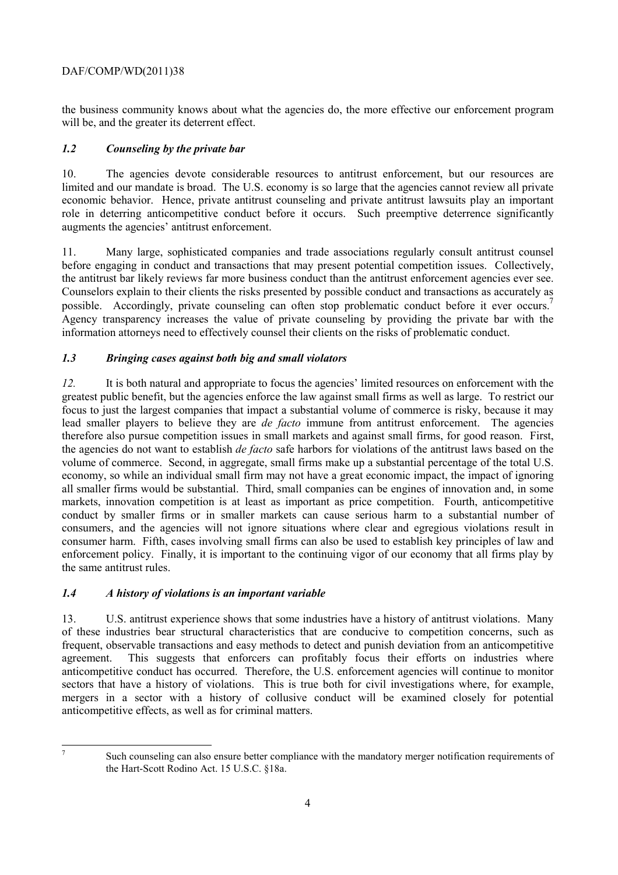the business community knows about what the agencies do, the more effective our enforcement program will be, and the greater its deterrent effect.

# *1.2 Counseling by the private bar*

10. The agencies devote considerable resources to antitrust enforcement, but our resources are limited and our mandate is broad. The U.S. economy is so large that the agencies cannot review all private economic behavior. Hence, private antitrust counseling and private antitrust lawsuits play an important role in deterring anticompetitive conduct before it occurs. Such preemptive deterrence significantly augments the agencies' antitrust enforcement.

the antitrust bar likely reviews far more business conduct than the antitrust enforcement agencies ever see. possible. Accordingly, private counseling can often stop problematic conduct before it ever occurs.<sup>7</sup> Agency transparency increases the value of private counseling by providing the private bar with the 11. Many large, sophisticated companies and trade associations regularly consult antitrust counsel before engaging in conduct and transactions that may present potential competition issues. Collectively, Counselors explain to their clients the risks presented by possible conduct and transactions as accurately as information attorneys need to effectively counsel their clients on the risks of problematic conduct.

# *1.3 Bringing cases against both big and small violators*

 the agencies do not want to establish *de facto* safe harbors for violations of the antitrust laws based on the economy, so while an individual small firm may not have a great economic impact, the impact of ignoring markets, innovation competition is at least as important as price competition. Fourth, anticompetitive consumers, and the agencies will not ignore situations where clear and egregious violations result in *12.* It is both natural and appropriate to focus the agencies' limited resources on enforcement with the greatest public benefit, but the agencies enforce the law against small firms as well as large. To restrict our focus to just the largest companies that impact a substantial volume of commerce is risky, because it may lead smaller players to believe they are *de facto* immune from antitrust enforcement. The agencies therefore also pursue competition issues in small markets and against small firms, for good reason. First, volume of commerce. Second, in aggregate, small firms make up a substantial percentage of the total U.S. all smaller firms would be substantial. Third, small companies can be engines of innovation and, in some conduct by smaller firms or in smaller markets can cause serious harm to a substantial number of consumer harm. Fifth, cases involving small firms can also be used to establish key principles of law and enforcement policy. Finally, it is important to the continuing vigor of our economy that all firms play by the same antitrust rules.

# *1.4 A history of violations is an important variable*

13. U.S. antitrust experience shows that some industries have a history of antitrust violations. Many of these industries bear structural characteristics that are conducive to competition concerns, such as frequent, observable transactions and easy methods to detect and punish deviation from an anticompetitive agreement. This suggests that enforcers can profitably focus their efforts on industries where anticompetitive conduct has occurred. Therefore, the U.S. enforcement agencies will continue to monitor sectors that have a history of violations. This is true both for civil investigations where, for example, mergers in a sector with a history of collusive conduct will be examined closely for potential anticompetitive effects, as well as for criminal matters.

 7

Such counseling can also ensure better compliance with the mandatory merger notification requirements of the Hart-Scott Rodino Act. 15 U.S.C. §18a.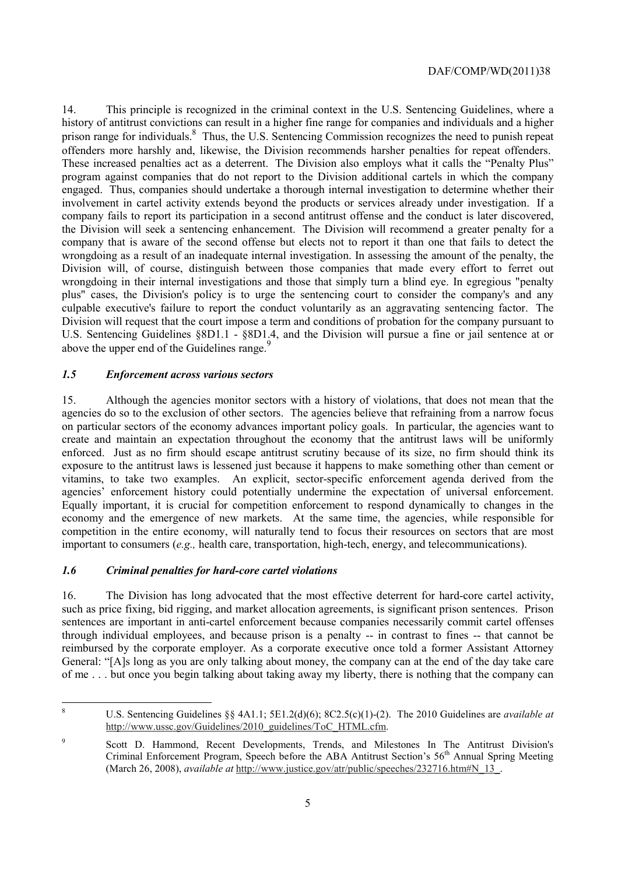above the upper end of the Guidelines range.<sup>9</sup> 14. This principle is recognized in the criminal context in the U.S. Sentencing Guidelines, where a history of antitrust convictions can result in a higher fine range for companies and individuals and a higher prison range for individuals.<sup>8</sup> Thus, the U.S. Sentencing Commission recognizes the need to punish repeat offenders more harshly and, likewise, the Division recommends harsher penalties for repeat offenders. These increased penalties act as a deterrent. The Division also employs what it calls the "Penalty Plus" program against companies that do not report to the Division additional cartels in which the company engaged. Thus, companies should undertake a thorough internal investigation to determine whether their involvement in cartel activity extends beyond the products or services already under investigation. If a company fails to report its participation in a second antitrust offense and the conduct is later discovered, the Division will seek a sentencing enhancement. The Division will recommend a greater penalty for a company that is aware of the second offense but elects not to report it than one that fails to detect the wrongdoing as a result of an inadequate internal investigation. In assessing the amount of the penalty, the Division will, of course, distinguish between those companies that made every effort to ferret out wrongdoing in their internal investigations and those that simply turn a blind eye. In egregious "penalty plus" cases, the Division's policy is to urge the sentencing court to consider the company's and any culpable executive's failure to report the conduct voluntarily as an aggravating sentencing factor. The Division will request that the court impose a term and conditions of probation for the company pursuant to U.S. Sentencing Guidelines §8D1.1 - §8D1.4, and the Division will pursue a fine or jail sentence at or

# *1.5 Enforcement across various sectors*

 agencies do so to the exclusion of other sectors. The agencies believe that refraining from a narrow focus on particular sectors of the economy advances important policy goals. In particular, the agencies want to enforced. Just as no firm should escape antitrust scrutiny because of its size, no firm should think its agencies' enforcement history could potentially undermine the expectation of universal enforcement. competition in the entire economy, will naturally tend to focus their resources on sectors that are most 15. Although the agencies monitor sectors with a history of violations, that does not mean that the create and maintain an expectation throughout the economy that the antitrust laws will be uniformly exposure to the antitrust laws is lessened just because it happens to make something other than cement or vitamins, to take two examples. An explicit, sector-specific enforcement agenda derived from the Equally important, it is crucial for competition enforcement to respond dynamically to changes in the economy and the emergence of new markets. At the same time, the agencies, while responsible for important to consumers (*e.g.,* health care, transportation, high-tech, energy, and telecommunications).

## *1.6 Criminal penalties for hard-core cartel violations*

16. The Division has long advocated that the most effective deterrent for hard-core cartel activity, such as price fixing, bid rigging, and market allocation agreements, is significant prison sentences. Prison sentences are important in anti-cartel enforcement because companies necessarily commit cartel offenses through individual employees, and because prison is a penalty -- in contrast to fines -- that cannot be reimbursed by the corporate employer. As a corporate executive once told a former Assistant Attorney General: "[A]s long as you are only talking about money, the company can at the end of the day take care of me . . . but once you begin talking about taking away my liberty, there is nothing that the company can

<sup>8</sup> U.S. Sentencing Guidelines §§ 4A1.1; 5E1.2(d)(6); 8C2.5(c)(1)-(2). The 2010 Guidelines are *available at*  http://www.ussc.gov/Guidelines/2010\_guidelines/ToC\_HTML.cfm.

<sup>9</sup> Scott D. Hammond, Recent Developments, Trends, and Milestones In The Antitrust Division's Criminal Enforcement Program, Speech before the ABA Antitrust Section's 56<sup>th</sup> Annual Spring Meeting (March 26, 2008), *available at* http://www.justice.gov/atr/public/speeches/232716.htm#N\_13\_.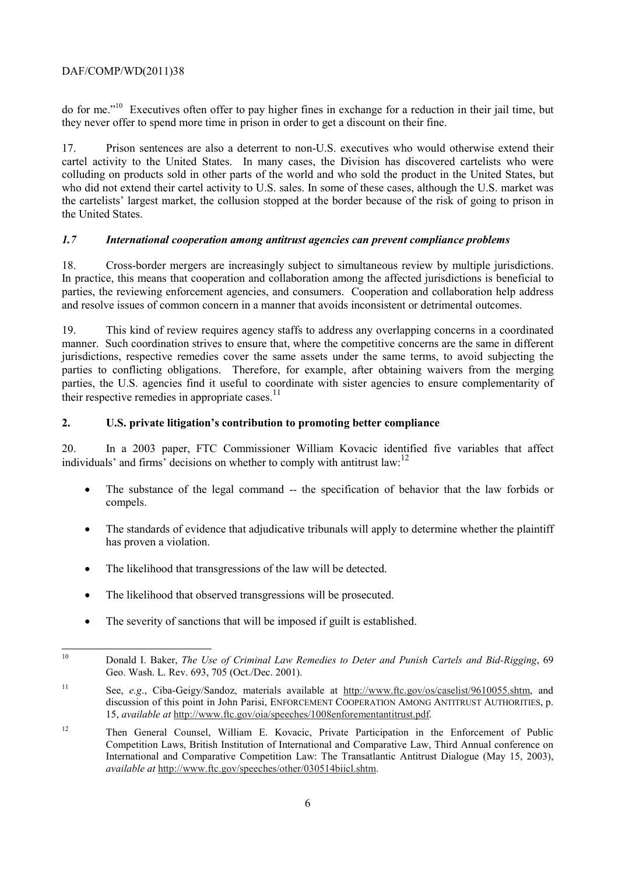do for me."10 Executives often offer to pay higher fines in exchange for a reduction in their jail time, but they never offer to spend more time in prison in order to get a discount on their fine.

17. Prison sentences are also a deterrent to non-U.S. executives who would otherwise extend their cartel activity to the United States. In many cases, the Division has discovered cartelists who were colluding on products sold in other parts of the world and who sold the product in the United States, but who did not extend their cartel activity to U.S. sales. In some of these cases, although the U.S. market was the cartelists' largest market, the collusion stopped at the border because of the risk of going to prison in the United States.

# *1.7 International cooperation among antitrust agencies can prevent compliance problems*

Cross-border mergers are increasingly subject to simultaneous review by multiple jurisdictions. 18. Cross-border mergers are increasingly subject to simultaneous review by multiple jurisdictions. In practice, this means that cooperation and collaboration among the affected jurisdictions is beneficial to parties, the reviewing enforcement agencies, and consumers. Cooperation and collaboration help address and resolve issues of common concern in a manner that avoids inconsistent or detrimental outcomes.

19. This kind of review requires agency staffs to address any overlapping concerns in a coordinated manner. Such coordination strives to ensure that, where the competitive concerns are the same in different jurisdictions, respective remedies cover the same assets under the same terms, to avoid subjecting the parties to conflicting obligations. Therefore, for example, after obtaining waivers from the merging parties, the U.S. agencies find it useful to coordinate with sister agencies to ensure complementarity of their respective remedies in appropriate cases.<sup>11</sup>

# **2. U.S. private litigation's contribution to promoting better compliance**

individuals' and firms' decisions on whether to comply with antitrust law:<sup>12</sup> 20. In a 2003 paper, FTC Commissioner William Kovacic identified five variables that affect

- The substance of the legal command -- the specification of behavior that the law forbids or compels.
- The standards of evidence that adjudicative tribunals will apply to determine whether the plaintiff has proven a violation.
- The likelihood that transgressions of the law will be detected.
- The likelihood that observed transgressions will be prosecuted.
- The severity of sanctions that will be imposed if guilt is established.

 $\overline{a}$ 10 Donald I. Baker, *The Use of Criminal Law Remedies to Deter and Punish Cartels and Bid-Rigging*, 69 Geo. Wash. L. Rev. 693, 705 (Oct./Dec. 2001).

<sup>11</sup> See, *e.g*., Ciba-Geigy/Sandoz, materials available at http://www.ftc.gov/os/caselist/9610055.shtm, and discussion of this point in John Parisi, ENFORCEMENT COOPERATION AMONG ANTITRUST AUTHORITIES, p. 15, *available at* http://www.ftc.gov/oia/speeches/1008enforementantitrust.pdf.

 $12$ 12 Then General Counsel, William E. Kovacic, Private Participation in the Enforcement of Public Competition Laws, British Institution of International and Comparative Law, Third Annual conference on International and Comparative Competition Law: The Transatlantic Antitrust Dialogue (May 15, 2003), *available at* http://www.ftc.gov/speeches/other/030514biicl.shtm.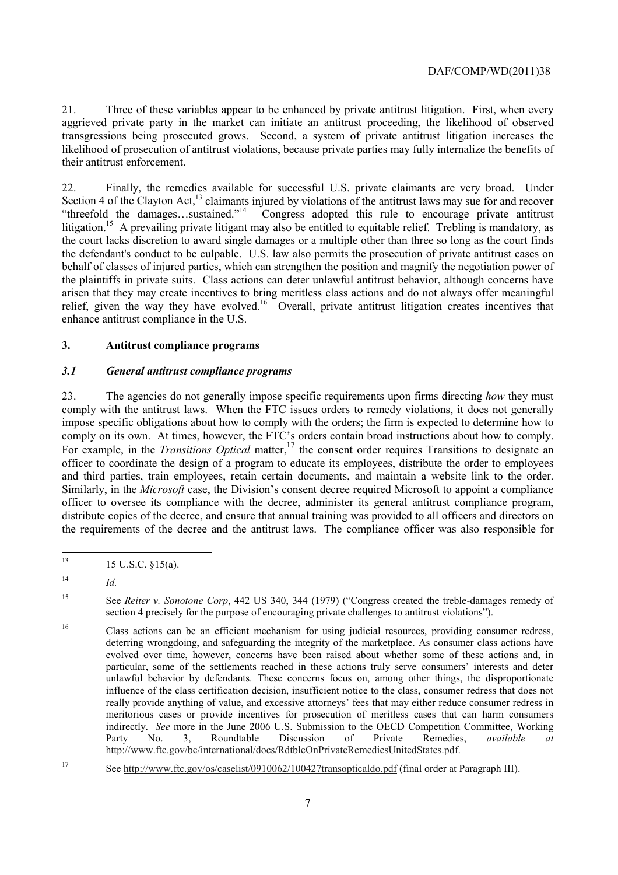21. Three of these variables appear to be enhanced by private antitrust litigation. First, when every aggrieved private party in the market can initiate an antitrust proceeding, the likelihood of observed transgressions being prosecuted grows. Second, a system of private antitrust litigation increases the likelihood of prosecution of antitrust violations, because private parties may fully internalize the benefits of their antitrust enforcement.

litigation.<sup>15</sup> A prevailing private litigant may also be entitled to equitable relief. Trebling is mandatory, as enhance antitrust compliance in the U.S. 22. Finally, the remedies available for successful U.S. private claimants are very broad. Under Section 4 of the Clayton Act,<sup>13</sup> claimants injured by violations of the antitrust laws may sue for and recover "threefold the damages…sustained."14 Congress adopted this rule to encourage private antitrust the court lacks discretion to award single damages or a multiple other than three so long as the court finds the defendant's conduct to be culpable. U.S. law also permits the prosecution of private antitrust cases on behalf of classes of injured parties, which can strengthen the position and magnify the negotiation power of the plaintiffs in private suits. Class actions can deter unlawful antitrust behavior, although concerns have arisen that they may create incentives to bring meritless class actions and do not always offer meaningful relief, given the way they have evolved.16 Overall, private antitrust litigation creates incentives that

## **3. Antitrust compliance programs**

## *3.1 General antitrust compliance programs*

comply on its own. At times, however, the FTC's orders contain broad instructions about how to comply. comply on its own. At times, however, the FTC's orders contain broad instructions about how to comply.<br>For example, in the *Transitions Optical* matter,<sup>17</sup> the consent order requires Transitions to designate an and third parties, train employees, retain certain documents, and maintain a website link to the order. distribute copies of the decree, and ensure that annual training was provided to all officers and directors on 23. The agencies do not generally impose specific requirements upon firms directing *how* they must comply with the antitrust laws. When the FTC issues orders to remedy violations, it does not generally impose specific obligations about how to comply with the orders; the firm is expected to determine how to officer to coordinate the design of a program to educate its employees, distribute the order to employees Similarly, in the *Microsoft* case, the Division's consent decree required Microsoft to appoint a compliance officer to oversee its compliance with the decree, administer its general antitrust compliance program, the requirements of the decree and the antitrust laws. The compliance officer was also responsible for

 $\overline{a}$ 13 15 U.S.C. §15(a).

 $14$  *Id.* 

<sup>15</sup> See *Reiter v. Sonotone Corp*, 442 US 340, 344 (1979) ("Congress created the treble-damages remedy of section 4 precisely for the purpose of encouraging private challenges to antitrust violations").

<sup>16</sup>  deterring wrongdoing, and safeguarding the integrity of the marketplace. As consumer class actions have meritorious cases or provide incentives for prosecution of meritless cases that can harm consumers 16 Class actions can be an efficient mechanism for using judicial resources, providing consumer redress, evolved over time, however, concerns have been raised about whether some of these actions and, in particular, some of the settlements reached in these actions truly serve consumers' interests and deter unlawful behavior by defendants. These concerns focus on, among other things, the disproportionate influence of the class certification decision, insufficient notice to the class, consumer redress that does not really provide anything of value, and excessive attorneys' fees that may either reduce consumer redress in indirectly. *See* more in the June 2006 U.S. Submission to the OECD Competition Committee, Working Party No. 3, Roundtable Discussion of Private Remedies, *available at*  http://www.ftc.gov/bc/international/docs/RdtbleOnPrivateRemediesUnitedStates.pdf.

<sup>17</sup> See http://www.ftc.gov/os/caselist/0910062/100427transopticaldo.pdf (final order at Paragraph III).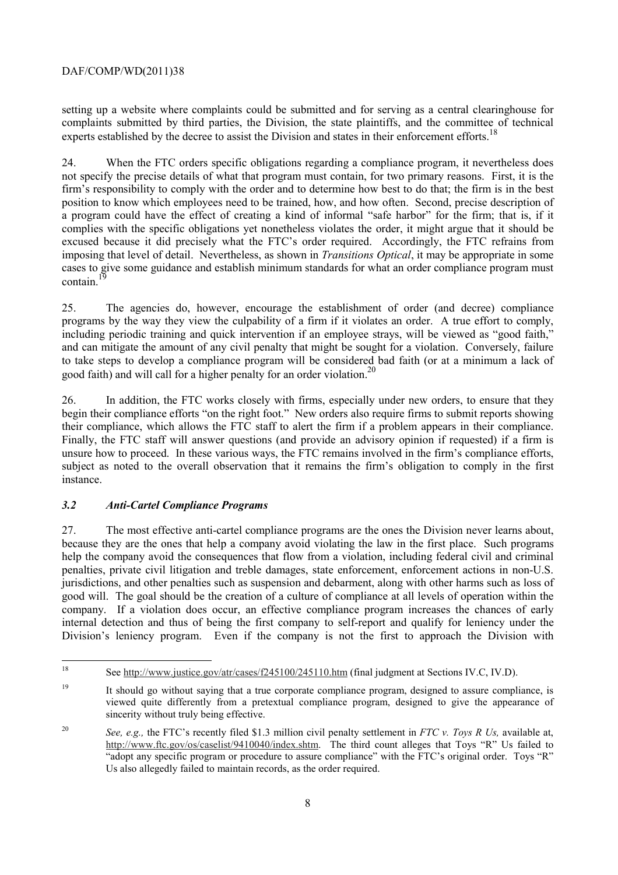complaints submitted by third parties, the Division, the state plaintiffs, and the committee of technical setting up a website where complaints could be submitted and for serving as a central clearinghouse for experts established by the decree to assist the Division and states in their enforcement efforts.<sup>18</sup>

24. When the FTC orders specific obligations regarding a compliance program, it nevertheless does not specify the precise details of what that program must contain, for two primary reasons. First, it is the firm's responsibility to comply with the order and to determine how best to do that; the firm is in the best position to know which employees need to be trained, how, and how often. Second, precise description of a program could have the effect of creating a kind of informal "safe harbor" for the firm; that is, if it complies with the specific obligations yet nonetheless violates the order, it might argue that it should be excused because it did precisely what the FTC's order required. Accordingly, the FTC refrains from imposing that level of detail. Nevertheless, as shown in *Transitions Optical*, it may be appropriate in some cases to give some guidance and establish minimum standards for what an order compliance program must contain.

25. The agencies do, however, encourage the establishment of order (and decree) compliance programs by the way they view the culpability of a firm if it violates an order. A true effort to comply, including periodic training and quick intervention if an employee strays, will be viewed as "good faith," and can mitigate the amount of any civil penalty that might be sought for a violation. Conversely, failure to take steps to develop a compliance program will be considered bad faith (or at a minimum a lack of good faith) and will call for a higher penalty for an order violation.20

their compliance, which allows the FTC staff to alert the firm if a problem appears in their compliance. 26. In addition, the FTC works closely with firms, especially under new orders, to ensure that they begin their compliance efforts "on the right foot." New orders also require firms to submit reports showing Finally, the FTC staff will answer questions (and provide an advisory opinion if requested) if a firm is unsure how to proceed. In these various ways, the FTC remains involved in the firm's compliance efforts, subject as noted to the overall observation that it remains the firm's obligation to comply in the first instance.

# *3.2 Anti-Cartel Compliance Programs*

 help the company avoid the consequences that flow from a violation, including federal civil and criminal company. If a violation does occur, an effective compliance program increases the chances of early 27. The most effective anti-cartel compliance programs are the ones the Division never learns about, because they are the ones that help a company avoid violating the law in the first place. Such programs penalties, private civil litigation and treble damages, state enforcement, enforcement actions in non-U.S. jurisdictions, and other penalties such as suspension and debarment, along with other harms such as loss of good will. The goal should be the creation of a culture of compliance at all levels of operation within the internal detection and thus of being the first company to self-report and qualify for leniency under the Division's leniency program. Even if the company is not the first to approach the Division with

See http://www.justice.gov/atr/cases/f245100/245110.htm (final judgment at Sections IV.C, IV.D).

<sup>&</sup>lt;sup>19</sup> It should go without saying that a true corporate compliance program, designed to assure compliance, is viewed quite differently from a pretextual compliance program, designed to give the appearance of sincerity without truly being effective.

<sup>20</sup>  "adopt any specific program or procedure to assure compliance" with the FTC's original order. Toys "R" Us also allegedly failed to maintain records, as the order required. <sup>20</sup>*See, e.g.,* the FTC's recently filed \$1.3 million civil penalty settlement in *FTC v. Toys R Us,* available at, http://www.ftc.gov/os/caselist/9410040/index.shtm. The third count alleges that Toys "R" Us failed to